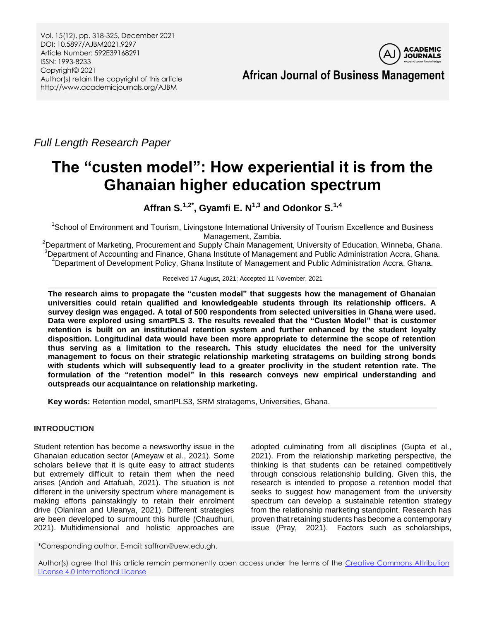Vol. 15(12), pp. 318-325, December 2021 DOI: 10.5897/AJBM2021.9297 Article Number: 592E39168291 ISSN: 1993-8233 Copyright© 2021 Author(s) retain the copyright of this article http://www.academicjournals.org/AJBM



*Full Length Research Paper*

# **The "custen model": How experiential it is from the Ghanaian higher education spectrum**

**Affran S.1,2\* , Gyamfi E. N1,3 and Odonkor S.1,4**

<sup>1</sup>School of Environment and Tourism, Livingstone International University of Tourism Excellence and Business Management, Zambia.

<sup>2</sup>Department of Marketing, Procurement and Supply Chain Management, University of Education, Winneba, Ghana. <sup>3</sup>Department of Accounting and Finance, Ghana Institute of Management and Public Administration Accra, Ghana. <sup>4</sup>Department of Development Policy, Ghana Institute of Management and Public Administration Accra, Ghana.

Received 17 August, 2021; Accepted 11 November, 2021

**The research aims to propagate the "custen model" that suggests how the management of Ghanaian universities could retain qualified and knowledgeable students through its relationship officers. A survey design was engaged. A total of 500 respondents from selected universities in Ghana were used. Data were explored using smartPLS 3. The results revealed that the "Custen Model" that is customer retention is built on an institutional retention system and further enhanced by the student loyalty disposition. Longitudinal data would have been more appropriate to determine the scope of retention thus serving as a limitation to the research. This study elucidates the need for the university management to focus on their strategic relationship marketing stratagems on building strong bonds with students which will subsequently lead to a greater proclivity in the student retention rate. The formulation of the "retention model" in this research conveys new empirical understanding and outspreads our acquaintance on relationship marketing.**

**Key words:** Retention model, smartPLS3, SRM stratagems, Universities, Ghana.

# **INTRODUCTION**

Student retention has become a newsworthy issue in the Ghanaian education sector (Ameyaw et al., 2021). Some scholars believe that it is quite easy to attract students but extremely difficult to retain them when the need arises (Andoh and Attafuah, 2021). The situation is not different in the university spectrum where management is making efforts painstakingly to retain their enrolment drive (Olaniran and Uleanya, 2021). Different strategies are been developed to surmount this hurdle (Chaudhuri, 2021). Multidimensional and holistic approaches are

adopted culminating from all disciplines (Gupta et al., 2021). From the relationship marketing perspective, the thinking is that students can be retained competitively through conscious relationship building. Given this, the research is intended to propose a retention model that seeks to suggest how management from the university spectrum can develop a sustainable retention strategy from the relationship marketing standpoint. Research has proven that retaining students has become a contemporary issue (Pray, 2021). Factors such as scholarships,

\*Corresponding author. E-mail: saffran@uew.edu.gh.

Author(s) agree that this article remain permanently open access under the terms of the Creative Commons Attribution [License 4.0 International License](http://creativecommons.org/licenses/by/4.0/deed.en_US)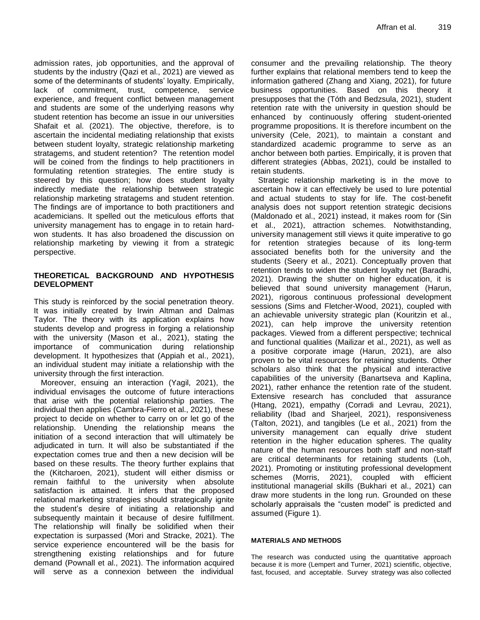admission rates, job opportunities, and the approval of students by the industry (Qazi et al., 2021) are viewed as some of the determinants of students' loyalty. Empirically, lack of commitment, trust, competence, service experience, and frequent conflict between management and students are some of the underlying reasons why student retention has become an issue in our universities Shafait et al. (2021). The objective, therefore, is to ascertain the incidental mediating relationship that exists between student loyalty, strategic relationship marketing stratagems, and student retention? The retention model will be coined from the findings to help practitioners in formulating retention strategies. The entire study is steered by this question; how does student loyalty indirectly mediate the relationship between strategic relationship marketing stratagems and student retention. The findings are of importance to both practitioners and academicians. It spelled out the meticulous efforts that university management has to engage in to retain hardwon students. It has also broadened the discussion on relationship marketing by viewing it from a strategic perspective.

## **THEORETICAL BACKGROUND AND HYPOTHESIS DEVELOPMENT**

This study is reinforced by the social penetration theory. It was initially created by Irwin Altman and Dalmas Taylor. The theory with its application explains how students develop and progress in forging a relationship with the university (Mason et al., 2021), stating the importance of communication during relationship development. It hypothesizes that (Appiah et al., 2021), an individual student may initiate a relationship with the university through the first interaction.

Moreover, ensuing an interaction (Yagil, 2021), the individual envisages the outcome of future interactions that arise with the potential relationship parties. The individual then applies (Cambra-Fierro et al., 2021), these project to decide on whether to carry on or let go of the relationship. Unending the relationship means the initiation of a second interaction that will ultimately be adjudicated in turn. It will also be substantiated if the expectation comes true and then a new decision will be based on these results. The theory further explains that the (Kitcharoen, 2021), student will either dismiss or remain faithful to the university when absolute satisfaction is attained. It infers that the proposed relational marketing strategies should strategically ignite the student's desire of initiating a relationship and subsequently maintain it because of desire fulfillment. The relationship will finally be solidified when their expectation is surpassed (Mori and Stracke, 2021). The service experience encountered will be the basis for strengthening existing relationships and for future demand (Pownall et al., 2021). The information acquired will serve as a connexion between the individual consumer and the prevailing relationship. The theory further explains that relational members tend to keep the information gathered (Zhang and Xiang, 2021), for future business opportunities. Based on this theory it presupposes that the (Tóth and Bedzsula, 2021), student retention rate with the university in question should be enhanced by continuously offering student-oriented programme propositions. It is therefore incumbent on the university (Cele, 2021), to maintain a constant and standardized academic programme to serve as an anchor between both parties. Empirically, it is proven that different strategies (Abbas, 2021), could be installed to retain students.

Strategic relationship marketing is in the move to ascertain how it can effectively be used to lure potential and actual students to stay for life. The cost-benefit analysis does not support retention strategic decisions (Maldonado et al., 2021) instead, it makes room for (Sin et al., 2021), attraction schemes. Notwithstanding, university management still views it quite imperative to go for retention strategies because of its long-term associated benefits both for the university and the students (Seery et al., 2021). Conceptually proven that retention tends to widen the student loyalty net (Baradhi, 2021). Drawing the shutter on higher education, it is believed that sound university management (Harun, 2021), rigorous continuous professional development sessions (Sims and Fletcher-Wood, 2021), coupled with an achievable university strategic plan (Kouritzin et al., 2021), can help improve the university retention packages. Viewed from a different perspective; technical and functional qualities (Mailizar et al., 2021), as well as a positive corporate image (Harun, 2021), are also proven to be vital resources for retaining students. Other scholars also think that the physical and interactive capabilities of the university (Banartseva and Kaplina, 2021), rather enhance the retention rate of the student. Extensive research has concluded that assurance (Htang, 2021), empathy (Corradi and Levrau, 2021), reliability (Ibad and Sharjeel, 2021), responsiveness (Talton, 2021), and tangibles (Le et al., 2021) from the university management can equally drive student retention in the higher education spheres. The quality nature of the human resources both staff and non-staff are critical determinants for retaining students (Loh, 2021). Promoting or instituting professional development schemes (Morris, 2021), coupled with efficient institutional managerial skills (Bukhari et al., 2021) can draw more students in the long run. Grounded on these scholarly appraisals the "custen model" is predicted and assumed (Figure 1).

#### **MATERIALS AND METHODS**

The research was conducted using the quantitative approach because it is more (Lempert and Turner, 2021) scientific, objective, fast, focused, and acceptable. Survey strategy was also collected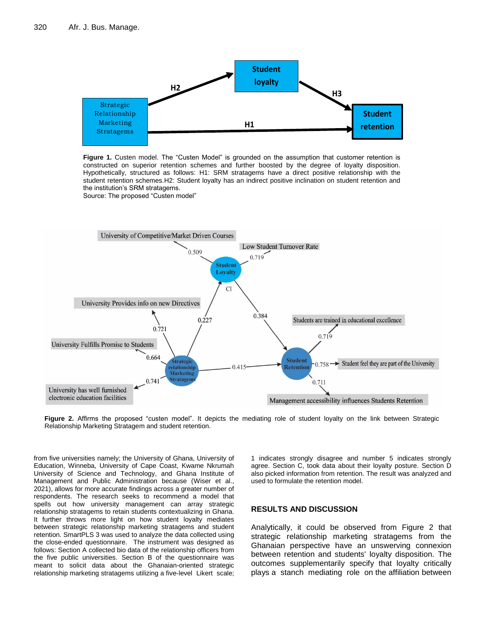

**Figure 1.** Custen model. The "Custen Model" is grounded on the assumption that customer retention is constructed on superior retention schemes and further boosted by the degree of loyalty disposition. Hypothetically, structured as follows: H1: SRM stratagems have a direct positive relationship with the **Source: The proposed "Custen model"** student retention schemes.H2: Student loyalty has an indirect positive inclination on student retention and *retention schemes and further boosteday and further boosted as and further boosted as and further boosted as*  $\alpha$ Source: The proposed "Custen model"



**Figure 2.** Affirms the proposed "custen model". It depicts the mediating role of student loyalty on the link between Strategic Relationship Marketing Stratagem and student retention.

from five universities namely; the University of Ghana, University of Education, Winneba, University of Cape Coast, Kwame Nkrumah University of Science and Technology, and Ghana Institute of Management and Public Administration because (Wiser et al., 2021), allows for more accurate findings across a greater number of respondents. The research seeks to recommend a model that spells out how university management can array strategic relationship stratagems to retain students contextualizing in Ghana. It further throws more light on how student loyalty mediates between strategic relationship marketing stratagems and student retention. SmartPLS 3 was used to analyze the data collected using the close-ended questionnaire. The instrument was designed as follows: Section A collected bio data of the relationship officers from the five public universities. Section B of the questionnaire was meant to solicit data about the Ghanaian-oriented strategic relationship marketing stratagems utilizing a five-level Likert scale; 1 indicates strongly disagree and number 5 indicates strongly agree. Section C, took data about their loyalty posture. Section D also picked information from retention. The result was analyzed and used to formulate the retention model.

#### **RESULTS AND DISCUSSION**

Analytically, it could be observed from Figure 2 that strategic relationship marketing stratagems from the Ghanaian perspective have an unswerving connexion between retention and students' loyalty disposition. The outcomes supplementarily specify that loyalty critically plays a stanch mediating role on the affiliation between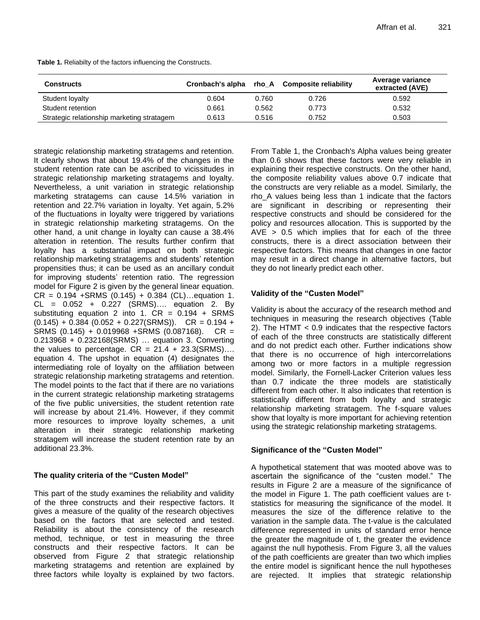| <b>Constructs</b>                          | Cronbach's alpha |       | rho A Composite reliability | Average variance<br>extracted (AVE) |
|--------------------------------------------|------------------|-------|-----------------------------|-------------------------------------|
| Student loyalty                            | 0.604            | 0.760 | 0.726                       | 0.592                               |
| Student retention                          | 0.661            | 0.562 | 0.773                       | 0.532                               |
| Strategic relationship marketing stratagem | 0.613            | 0.516 | 0.752                       | 0.503                               |

**Table 1.** Reliabilty of the factors influencing the Constructs.

strategic relationship marketing stratagems and retention. It clearly shows that about 19.4% of the changes in the student retention rate can be ascribed to vicissitudes in strategic relationship marketing stratagems and loyalty. Nevertheless, a unit variation in strategic relationship marketing stratagems can cause 14.5% variation in retention and 22.7% variation in loyalty. Yet again, 5.2% of the fluctuations in loyalty were triggered by variations in strategic relationship marketing stratagems. On the other hand, a unit change in loyalty can cause a 38.4% alteration in retention. The results further confirm that loyalty has a substantial impact on both strategic relationship marketing stratagems and students' retention propensities thus; it can be used as an ancillary conduit for improving students' retention ratio. The regression model for Figure 2 is given by the general linear equation.  $CR = 0.194 + SRMS (0.145) + 0.384 (CL)...$ equation 1.  $CL = 0.052 + 0.227$  (SRMS).... equation 2. By substituting equation 2 into 1.  $CR = 0.194 + SRMS$  $(0.145) + 0.384 (0.052 + 0.227(SRMS))$ . CR = 0.194 + SRMS (0.145) + 0.019968 +SRMS (0.087168). CR = 0.213968 + 0.232168(SRMS) … equation 3. Converting the values to percentage.  $CR = 21.4 + 23.3(SRMS)...$ equation 4. The upshot in equation (4) designates the intermediating role of loyalty on the affiliation between strategic relationship marketing stratagems and retention. The model points to the fact that if there are no variations in the current strategic relationship marketing stratagems of the five public universities, the student retention rate will increase by about 21.4%. However, if they commit more resources to improve loyalty schemes, a unit alteration in their strategic relationship marketing stratagem will increase the student retention rate by an additional 23.3%.

## **The quality criteria of the "Custen Model"**

This part of the study examines the reliability and validity of the three constructs and their respective factors. It gives a measure of the quality of the research objectives based on the factors that are selected and tested. Reliability is about the consistency of the research method, technique, or test in measuring the three constructs and their respective factors. It can be observed from Figure 2 that strategic relationship marketing stratagems and retention are explained by three factors while loyalty is explained by two factors.

From Table 1, the Cronbach's Alpha values being greater than 0.6 shows that these factors were very reliable in explaining their respective constructs. On the other hand, the composite reliability values above 0.7 indicate that the constructs are very reliable as a model. Similarly, the rho\_A values being less than 1 indicate that the factors are significant in describing or representing their respective constructs and should be considered for the policy and resources allocation. This is supported by the  $AVE$  > 0.5 which implies that for each of the three constructs, there is a direct association between their respective factors. This means that changes in one factor may result in a direct change in alternative factors, but they do not linearly predict each other.

# **Validity of the "Custen Model"**

Validity is about the accuracy of the research method and techniques in measuring the research objectives (Table 2). The HTMT < 0.9 indicates that the respective factors of each of the three constructs are statistically different and do not predict each other. Further indications show that there is no occurrence of high intercorrelations among two or more factors in a multiple regression model. Similarly, the Fornell-Lacker Criterion values less than 0.7 indicate the three models are statistically different from each other. It also indicates that retention is statistically different from both loyalty and strategic relationship marketing stratagem. The f-square values show that loyalty is more important for achieving retention using the strategic relationship marketing stratagems.

# **Significance of the "Custen Model"**

A hypothetical statement that was mooted above was to ascertain the significance of the "custen model." The results in Figure 2 are a measure of the significance of the model in Figure 1. The path coefficient values are tstatistics for measuring the significance of the model. It measures the size of the difference relative to the variation in the sample data. The t-value is the calculated difference represented in units of standard error hence the greater the magnitude of t, the greater the evidence against the null hypothesis. From Figure 3, all the values of the path coefficients are greater than two which implies the entire model is significant hence the null hypotheses are rejected. It implies that strategic relationship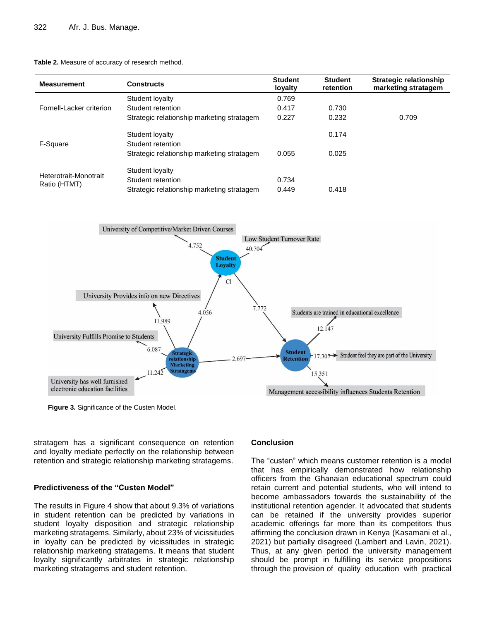|  | Table 2. Measure of accuracy of research method. |  |
|--|--------------------------------------------------|--|
|  |                                                  |  |

| <b>Measurement</b>                    | <b>Constructs</b>                          | <b>Student</b><br>lovalty | <b>Student</b><br>retention | <b>Strategic relationship</b><br>marketing stratagem |
|---------------------------------------|--------------------------------------------|---------------------------|-----------------------------|------------------------------------------------------|
| Fornell-Lacker criterion              | Student loyalty                            | 0.769                     |                             |                                                      |
|                                       | Student retention                          | 0.417                     | 0.730                       |                                                      |
|                                       | Strategic relationship marketing stratagem | 0.227                     | 0.232                       | 0.709                                                |
| F-Square                              | Student loyalty                            |                           | 0.174                       |                                                      |
|                                       | Student retention                          |                           |                             |                                                      |
|                                       | Strategic relationship marketing stratagem | 0.055                     | 0.025                       |                                                      |
| Heterotrait-Monotrait<br>Ratio (HTMT) | Student loyalty                            |                           |                             |                                                      |
|                                       | Student retention                          | 0.734                     |                             |                                                      |
|                                       | Strategic relationship marketing stratagem | 0.449                     | 0.418                       |                                                      |



**Figure 3.** Significance of the Custen Model.

stratagem has a significant consequence on retention and loyalty mediate perfectly on the relationship between retention and strategic relationship marketing stratagems.

## **Predictiveness of the "Custen Model"**

The results in Figure 4 show that about 9.3% of variations in student retention can be predicted by variations in student loyalty disposition and strategic relationship marketing stratagems. Similarly, about 23% of vicissitudes in loyalty can be predicted by vicissitudes in strategic relationship marketing stratagems. It means that student loyalty significantly arbitrates in strategic relationship marketing stratagems and student retention.

## **Conclusion**

The "custen" which means customer retention is a model that has empirically demonstrated how relationship officers from the Ghanaian educational spectrum could retain current and potential students, who will intend to become ambassadors towards the sustainability of the institutional retention agender. It advocated that students can be retained if the university provides superior academic offerings far more than its competitors thus affirming the conclusion drawn in Kenya (Kasamani et al., 2021) but partially disagreed (Lambert and Lavin, 2021). Thus, at any given period the university management should be prompt in fulfilling its service propositions through the provision of quality education with practical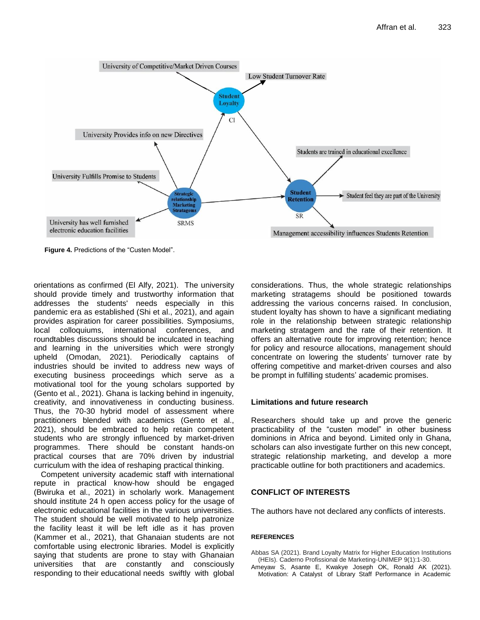

**Figure 4.** Predictions of the "Custen Model".

orientations as confirmed (El Alfy, 2021). The university should provide timely and trustworthy information that addresses the students' needs especially in this pandemic era as established (Shi et al., 2021), and again provides aspiration for career possibilities. Symposiums, local colloquiums, international conferences, and roundtables discussions should be inculcated in teaching and learning in the universities which were strongly upheld (Omodan, 2021). Periodically captains of industries should be invited to address new ways of executing business proceedings which serve as a motivational tool for the young scholars supported by (Gento et al., 2021). Ghana is lacking behind in ingenuity, creativity, and innovativeness in conducting business. Thus, the 70-30 hybrid model of assessment where practitioners blended with academics (Gento et al., 2021), should be embraced to help retain competent students who are strongly influenced by market-driven programmes. There should be constant hands-on practical courses that are 70% driven by industrial curriculum with the idea of reshaping practical thinking.

Competent university academic staff with international repute in practical know-how should be engaged (Bwiruka et al., 2021) in scholarly work. Management should institute 24 h open access policy for the usage of electronic educational facilities in the various universities. The student should be well motivated to help patronize the facility least it will be left idle as it has proven (Kammer et al., 2021), that Ghanaian students are not comfortable using electronic libraries. Model is explicitly saying that students are prone to stay with Ghanaian universities that are constantly and consciously responding to their educational needs swiftly with global considerations. Thus, the whole strategic relationships marketing stratagems should be positioned towards addressing the various concerns raised. In conclusion, student loyalty has shown to have a significant mediating role in the relationship between strategic relationship marketing stratagem and the rate of their retention. It offers an alternative route for improving retention; hence for policy and resource allocations, management should concentrate on lowering the students' turnover rate by offering competitive and market-driven courses and also be prompt in fulfilling students' academic promises.

## **Limitations and future research**

Researchers should take up and prove the generic practicability of the "custen model" in other business dominions in Africa and beyond. Limited only in Ghana, scholars can also investigate further on this new concept, strategic relationship marketing, and develop a more practicable outline for both practitioners and academics.

# **CONFLICT OF INTERESTS**

The authors have not declared any conflicts of interests.

#### **REFERENCES**

- Abbas SA (2021). Brand Loyalty Matrix for Higher Education Institutions (HEIs). Caderno Profissional de Marketing-UNIMEP 9(1):1-30.
- Ameyaw S, Asante E, Kwakye Joseph OK, Ronald AK (2021). Motivation: A Catalyst of Library Staff Performance in Academic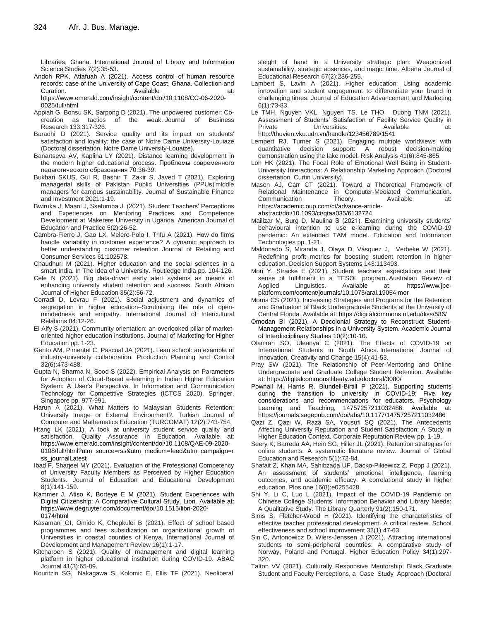Libraries, Ghana. International Journal of Library and Information Science Studies 7(2):35-53.

Andoh RPK, Attafuah A (2021). Access control of human resource records: case of the University of Cape Coast, Ghana. Collection and Curation. **Available at:** Available **at:** https://www.emerald.com/insight/content/doi/10.1108/CC-06-2020-

0025/full/html Appiah G, Bonsu SK, Sarpong D (2021). The unpowered customer: Cocreation as tactics of the weak. Journal of Business Research 133:317-326.

- Baradhi D (2021). Service quality and its impact on students' satisfaction and loyality: the case of Notre Dame University-Louiaze (Doctoral dissertation, Notre Dame University-Louaize).
- Banartseva AV, Kaplina LY (2021). Distance learning development in the modern higher educational process. Проблемы современного педагогического образования 70:36-39.
- Bukhari SKUS, Gul R, Bashir T, Zakir S, Javed T (2021). Exploring managerial skills of Pakistan Public Universities (PPUs)'middle managers for campus sustainability. Journal of Sustainable Finance and Investment 2021:1-19.
- Bwiruka J, Maani J, Ssetumba J. (2021). Student Teachers' Perceptions and Experiences on Mentoring Practices and Competence Development at Makerere University in Uganda. American Journal of Education and Practice 5(2):26-52.
- Cambra-Fierro J, Gao LX, Melero-Polo I, Trifu A (2021). How do firms handle variability in customer experience? A dynamic approach to better understanding customer retention. Journal of Retailing and Consumer Services 61:102578.
- Chaudhuri M (2021). Higher education and the social sciences in a smart India. In The Idea of a University. Routledge India pp. 104-126.
- Cele N (2021). Big data-driven early alert systems as means of enhancing university student retention and success. South African Journal of Higher Education 35(2):56-72.
- Corradi D, Levrau F (2021). Social adjustment and dynamics of segregation in higher education–Scrutinising the role of openmindedness and empathy. International Journal of Intercultural Relations 84:12-26.
- El Alfy S (2021). Community orientation: an overlooked pillar of marketoriented higher education institutions. Journal of Marketing for Higher Education pp. 1-23.
- Gento AM, Pimentel C, Pascual JA (2021). Lean school: an example of industry-university collaboration. Production Planning and Control 32(6):473-488.
- Gupta N, Sharma N, Sood S (2022). Empirical Analysis on Parameters for Adoption of Cloud-Based e-learning in Indian Higher Education System: A User's Perspective. In Information and Communication Technology for Competitive Strategies (ICTCS 2020). Springer, Singapore pp. 977-991.
- Harun A (2021). What Matters to Malaysian Students Retention: University Image or External Environment?. Turkish Journal of Computer and Mathematics Education (TURCOMAT) 12(2):743-754.
- Htang LK (2021). A look at university student service quality and satisfaction. Quality Assurance in Education. Available at: [https://www.emerald.com/insight/content/doi/10.1108/QAE-09-2020-](https://www.emerald.com/insight/content/doi/10.1108/QAE-09-2020-0108/full/html?utm_source=rss&utm_medium=feed&utm_campaign=rss_journalLatest) [0108/full/html?utm\\_source=rss&utm\\_medium=feed&utm\\_campaign=r](https://www.emerald.com/insight/content/doi/10.1108/QAE-09-2020-0108/full/html?utm_source=rss&utm_medium=feed&utm_campaign=rss_journalLatest) [ss\\_journalLatest](https://www.emerald.com/insight/content/doi/10.1108/QAE-09-2020-0108/full/html?utm_source=rss&utm_medium=feed&utm_campaign=rss_journalLatest)
- Ibad F, Sharjeel MY (2021). Evaluation of the Professional Competency of University Faculty Members as Perceived by Higher Education Students. Journal of Education and Educational Development 8(1):141-159.
- Kammer J, Atiso K, Borteye E M (2021). Student Experiences with Digital Citizenship: A Comparative Cultural Study. Libri. Available at: [https://www.degruyter.com/document/doi/10.1515/libri-2020-](https://www.degruyter.com/document/doi/10.1515/libri-2020-0174/html) [0174/html](https://www.degruyter.com/document/doi/10.1515/libri-2020-0174/html)
- Kasamani GI, Omido K, Chepkulei B (2021). Effect of school based programmes and fees subsidization on organizational growth of Universities in coastal counties of Kenya. International Journal of Development and Management Review 16(1):1-17.
- Kitcharoen S (2021). Quality of management and digital learning platform in higher educational institution during COVID-19. ABAC Journal 41(3):65-89.
- Kouritzin SG, Nakagawa S, Kolomic E, Ellis TF (2021). Neoliberal

sleight of hand in a University strategic plan: Weaponized sustainability, strategic absences, and magic time. Alberta Journal of Educational Research 67(2):236-255.

- Lambert S, Lavin A (2021). Higher education: Using academic innovation and student engagement to differentiate your brand in challenging times. Journal of Education Advancement and Marketing 6(1):73-83.
- Le TMH, Nguyen VKL, Nguyen TS, Le THO, Duong TNM (2021). Assessment of Students' Satisfaction of Facility Service Quality in Private **Universities.** Available at: <http://thuvien.vku.udn.vn/handle/123456789/1541>
- Lempert RJ, Turner S (2021). Engaging multiple worldviews with quantitative decision support: A robust decision‐making demonstration using the lake model. Risk Analysis 41(6):845-865.
- Loh HK (2021). The Focal Role of Emotional Well Being in Student-University Interactions: A Relationship Marketing Approach (Doctoral dissertation, Curtin University).
- Mason AJ, Carr CT (2021). Toward a Theoretical Framework of Relational Maintenance in Computer-Mediated Communication.<br>Communication Theory. Available at: Communication Theory. Available at: [https://academic.oup.com/ct/advance-article](https://academic.oup.com/ct/advance-article-abstract/doi/10.1093/ct/qtaa035/6132724)[abstract/doi/10.1093/ct/qtaa035/6132724](https://academic.oup.com/ct/advance-article-abstract/doi/10.1093/ct/qtaa035/6132724)
- Mailizar M, Burg D, Maulina S (2021). Examining university students' behavioural intention to use e-learning during the COVID-19 pandemic: An extended TAM model. Education and Information Technologies pp. 1-21.
- Maldonado S, Miranda J, Olaya D, Vásquez J, Verbeke W (2021). Redefining profit metrics for boosting student retention in higher education. Decision Support Systems 143:113493.
- Mori Y, Stracke E (2021). Student teachers' expectations and their sense of fulfillment in a TESOL program. Australian Review of Applied Linguistics. Available at: [https://www.jbe](https://www.jbe-platform.com/content/journals/10.1075/aral.19054.mor)[platform.com/content/journals/10.1075/aral.19054.mor](https://www.jbe-platform.com/content/journals/10.1075/aral.19054.mor)
- Morris CS (2021). Increasing Strategies and Programs for the Retention and Graduation of Black Undergraduate Students at the University of Central Florida. Available at[: https://digitalcommons.nl.edu/diss/586/](https://digitalcommons.nl.edu/diss/586/)
- Omodan BI (2021). A Decolonial Strategy to Reconstruct Student-Management Relationships in a University System. Academic Journal of Interdisciplinary Studies 10(2):10-10.
- Olaniran SO, Uleanya C (2021). The Effects of COVID-19 on International Students in South Africa International Journal of Innovation, Creativity and Change 15(4):41-53.
- Pray SW (2021). The Relationship of Peer-Mentoring and Online Undergraduate and Graduate College Student Retention. Available at: https://digitalcommons.liberty.edu/doctoral/3080/
- Pownall M, Harris R, Blundell-Birtill P (2021). Supporting students during the transition to university in COVID-19: Five key considerations and recommendations for educators. Psychology Learning and Teaching, 14757257211032486. Available at: https://journals.sagepub.com/doi/abs/10.1177/14757257211032486
- Qazi Z, Qazi W, Raza SA, Yousufi SQ (2021). The Antecedents Affecting University Reputation and Student Satisfaction: A Study in Higher Education Context. Corporate Reputation Review pp. 1-19.
- Seery K, Barreda AA, Hein SG, Hiller JL (2021). Retention strategies for online students: A systematic literature review. Journal of Global Education and Research 5(1):72-84.
- Shafait Z, Khan MA, Sahibzada UF, Dacko-Pikiewicz Z, Popp J (2021). An assessment of students' emotional intelligence, learning outcomes, and academic efficacy: A correlational study in higher education. Plos one 16(8):e0255428.
- Shi Y, Li C, Luo L (2021). Impact of the COVID-19 Pandemic on Chinese College Students' Information Behavior and Library Needs: A Qualitative Study. The Library Quarterly 91(2):150-171.
- Sims S, Fletcher-Wood H (2021). Identifying the characteristics of effective teacher professional development: A critical review. School effectiveness and school improvement 32(1):47-63.
- Sin C, Antonowicz D, Wiers-Jenssen J (2021). Attracting international students to semi-peripheral countries: A comparative study of Norway, Poland and Portugal. Higher Education Policy 34(1):297- 320.
- Talton VV (2021). Culturally Responsive Mentorship: Black Graduate Student and Faculty Perceptions, a Case Study Approach (Doctoral